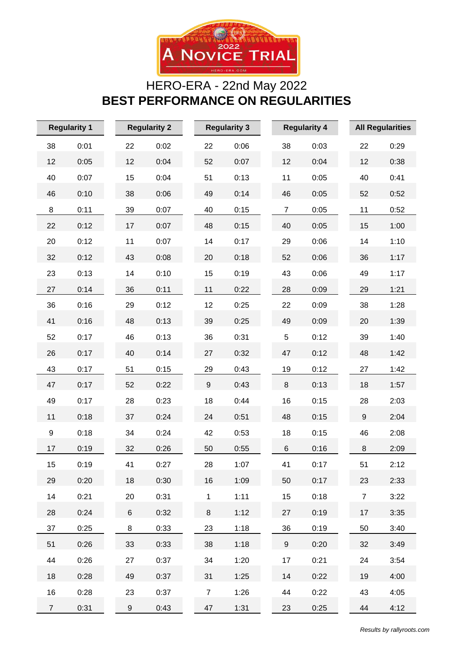

## HERO-ERA - 22nd May 2022 **BEST PERFORMANCE ON REGULARITIES**

| <b>Regularity 1</b> |      | <b>Regularity 2</b> |      | <b>Regularity 3</b> |      |  |                | <b>Regularity 4</b> |                  | <b>All Regularities</b> |  |
|---------------------|------|---------------------|------|---------------------|------|--|----------------|---------------------|------------------|-------------------------|--|
| 38                  | 0:01 | 22                  | 0:02 | 22                  | 0:06 |  | 38             | 0:03                | 22               | 0:29                    |  |
| 12                  | 0:05 | 12                  | 0:04 | 52                  | 0:07 |  | 12             | 0:04                | 12               | 0:38                    |  |
| 40                  | 0:07 | 15                  | 0:04 | 51                  | 0:13 |  | 11             | 0:05                | 40               | 0:41                    |  |
| 46                  | 0:10 | 38                  | 0:06 | 49                  | 0:14 |  | 46             | 0:05                | 52               | 0:52                    |  |
| 8                   | 0:11 | 39                  | 0:07 | 40                  | 0:15 |  | $\overline{7}$ | 0:05                | 11               | 0:52                    |  |
| 22                  | 0:12 | 17                  | 0:07 | 48                  | 0:15 |  | 40             | 0:05                | 15               | 1:00                    |  |
| 20                  | 0:12 | 11                  | 0:07 | 14                  | 0:17 |  | 29             | 0:06                | 14               | 1:10                    |  |
| 32                  | 0:12 | 43                  | 0:08 | 20                  | 0:18 |  | 52             | 0:06                | 36               | 1:17                    |  |
| 23                  | 0:13 | 14                  | 0:10 | 15                  | 0:19 |  | 43             | 0:06                | 49               | 1:17                    |  |
| 27                  | 0:14 | 36                  | 0:11 | 11                  | 0:22 |  | 28             | 0:09                | 29               | 1:21                    |  |
| 36                  | 0:16 | 29                  | 0:12 | 12                  | 0:25 |  | 22             | 0:09                | 38               | 1:28                    |  |
| 41                  | 0:16 | 48                  | 0:13 | 39                  | 0:25 |  | 49             | 0:09                | 20               | 1:39                    |  |
| 52                  | 0:17 | 46                  | 0:13 | 36                  | 0:31 |  | 5              | 0:12                | 39               | 1:40                    |  |
| 26                  | 0:17 | 40                  | 0:14 | 27                  | 0:32 |  | 47             | 0:12                | 48               | 1:42                    |  |
| 43                  | 0:17 | 51                  | 0:15 | 29                  | 0:43 |  | 19             | 0:12                | 27               | 1:42                    |  |
| 47                  | 0:17 | 52                  | 0:22 | $\boldsymbol{9}$    | 0:43 |  | 8              | 0:13                | 18               | 1:57                    |  |
| 49                  | 0:17 | 28                  | 0:23 | 18                  | 0:44 |  | 16             | 0:15                | 28               | 2:03                    |  |
| 11                  | 0:18 | 37                  | 0:24 | 24                  | 0:51 |  | 48             | 0:15                | $\boldsymbol{9}$ | 2:04                    |  |
| $\boldsymbol{9}$    | 0:18 | 34                  | 0:24 | 42                  | 0:53 |  | 18             | 0:15                | 46               | 2:08                    |  |
| 17                  | 0:19 | 32                  | 0:26 | 50                  | 0:55 |  | 6              | 0:16                | 8                | 2:09                    |  |
| 15                  | 0:19 | 41                  | 0:27 | 28                  | 1:07 |  | 41             | 0:17                | 51               | 2:12                    |  |
| 29                  | 0:20 | 18                  | 0:30 | 16                  | 1:09 |  | 50             | 0:17                | 23               | 2:33                    |  |
| 14                  | 0:21 | 20                  | 0:31 | $\mathbf{1}$        | 1:11 |  | 15             | 0:18                | $\overline{7}$   | 3:22                    |  |
| 28                  | 0:24 | 6                   | 0:32 | 8                   | 1:12 |  | 27             | 0:19                | 17               | 3:35                    |  |
| 37                  | 0:25 | 8                   | 0:33 | 23                  | 1:18 |  | 36             | 0:19                | 50               | 3:40                    |  |
| 51                  | 0:26 | 33                  | 0:33 | 38                  | 1:18 |  | 9              | 0:20                | 32               | 3:49                    |  |
| 44                  | 0:26 | 27                  | 0:37 | 34                  | 1:20 |  | 17             | 0:21                | 24               | 3:54                    |  |
| 18                  | 0:28 | 49                  | 0:37 | 31                  | 1:25 |  | 14             | 0:22                | 19               | 4:00                    |  |
| 16                  | 0:28 | 23                  | 0:37 | $\overline{7}$      | 1:26 |  | 44             | 0:22                | 43               | 4:05                    |  |
| 7 <sup>7</sup>      | 0:31 | 9                   | 0:43 | 47                  | 1:31 |  | 23             | 0:25                | 44               | 4:12                    |  |